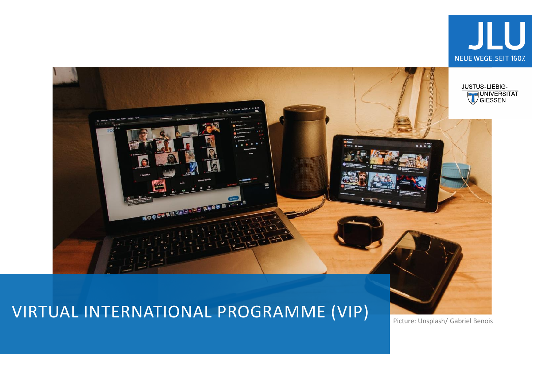



# VIRTUAL INTERNATIONAL PROGRAMME (VIP)

Picture: Unsplash/ Gabriel Benois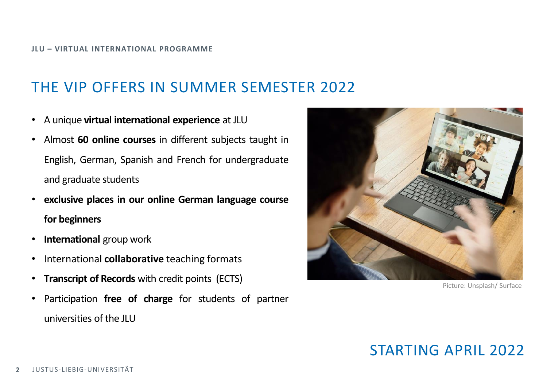## THE VIP OFFERS IN SUMMER SEMESTER 2022

- A unique **virtual international experience** at JLU
- Almost **60 online courses** in different subjects taught in English, German, Spanish and French for undergraduate and graduate students
- **exclusive places in our online German language course for beginners**
- **International** group work
- International **collaborative** teaching formats
- **Transcript of Records** with credit points (ECTS)
- Participation **free of charge** for students of partner universities of the JLU



Picture: Unsplash/ Surface

## STARTING APRIL 2022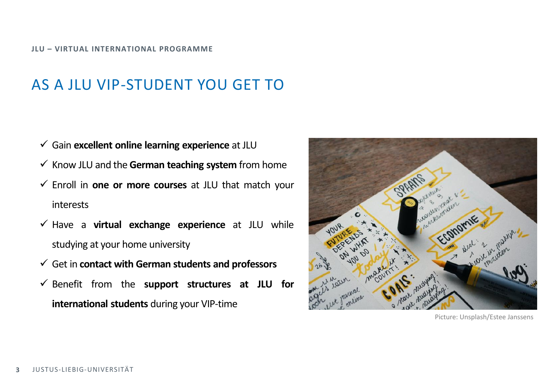### **JLU – VIRTUAL INTERNATIONAL PROGRAMME**

## AS A JLU VIP-STUDENT YOU GET TO

- Gain **excellent online learning experience** at JLU
- $\checkmark$  Know JLU and the German teaching system from home
- Enroll in **one or more courses** at JLU that match your interests
- Have a **virtual exchange experience** at JLU while studying at your home university
- Get in **contact with German students and professors**
- $\checkmark$  Benefit from the **support** structures at JLU for **international students** during your VIP-time



Picture: Unsplash/Estee Janssens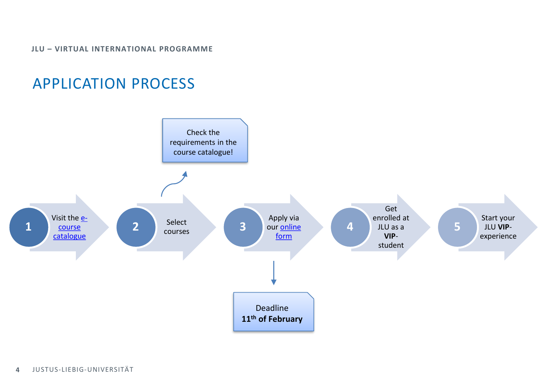**JLU – VIRTUAL INTERNATIONAL PROGRAMME**

## APPLICATION PROCESS

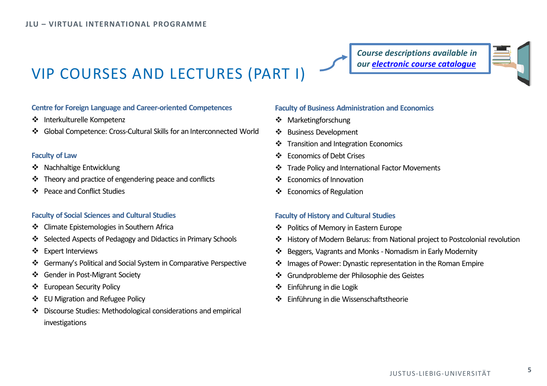### *Course descriptions available in our [electronic course catalogue](https://www.jlu-digitalcampus.de/vip)*



## VIP COURSES AND LECTURES (PART I)

### **Centre for Foreign Language and Career-oriented Competences**

- Interkulturelle Kompetenz
- Global Competence: Cross-Cultural Skills for an Interconnected World

#### **Faculty of Law**

- ❖ Nachhaltige Entwicklung
- $\div$  Theory and practice of engendering peace and conflicts
- ❖ Peace and Conflict Studies

### **Faculty of Social Sciences and Cultural Studies**

- Climate Epistemologies in Southern Africa
- Selected Aspects of Pedagogy and Didactics in Primary Schools
- ❖ Expert Interviews
- Germany's Political and Social System in Comparative Perspective
- Gender in Post-Migrant Society
- $\div$  European Security Policy
- EU Migration and Refugee Policy
- Discourse Studies: Methodological considerations and empirical investigations

### **Faculty of Business Administration and Economics**

- Marketingforschung
- Business Development
- Transition and Integration Economics
- Economics of Debt Crises
- Trade Policy and International Factor Movements
- ❖ Economics of Innovation
- Economics of Regulation

### **Faculty of History and Cultural Studies**

- Politics of Memory in Eastern Europe
- History of Modern Belarus: from National project to Postcolonial revolution
- ❖ Beggers, Vagrants and Monks Nomadism in Early Modernity
- Images of Power: Dynastic representation in the Roman Empire
- Grundprobleme der Philosophie des Geistes
- Einführung in die Logik
- Einführung in die Wissenschaftstheorie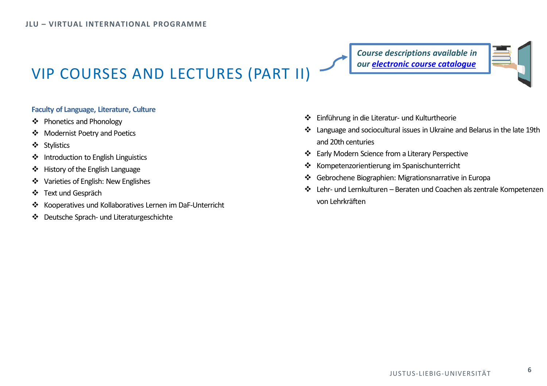*Course descriptions available in our [electronic course catalogue](https://www.jlu-digitalcampus.de/vip)*

# VIP COURSES AND LECTURES (PART II)

### **Faculty of Language, Literature, Culture**

- Phonetics and Phonology
- Modernist Poetry and Poetics
- Stylistics
- Introduction to English Linguistics
- History of the English Language
- ❖ Varieties of English: New Englishes
- Text und Gespräch
- Kooperatives und Kollaboratives Lernen im DaF-Unterricht
- Deutsche Sprach- und Literaturgeschichte
- Einführung in die Literatur- und Kulturtheorie
- Language and sociocultural issues in Ukraine and Belarus in the late 19th and 20th centuries
- Early Modern Science from a Literary Perspective
- \* Kompetenzorientierung im Spanischunterricht
- Gebrochene Biographien: Migrationsnarrative in Europa
- Lehr- und Lernkulturen Beraten und Coachen als zentrale Kompetenzen von Lehrkräften

**6**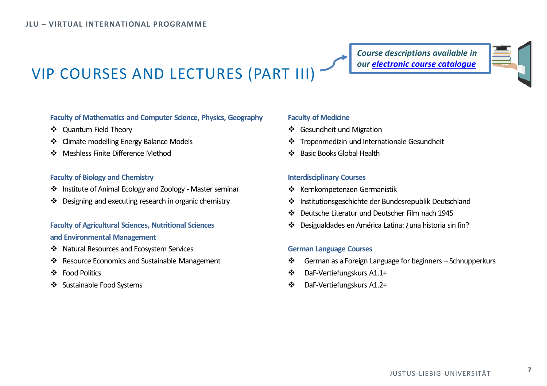### *Course descriptions available in our [electronic course catalogue](https://www.jlu-digitalcampus.de/vip)*

# VIP COURSES AND LECTURES (PART III)

### **Faculty of Mathematics and Computer Science, Physics, Geography**

- Quantum Field Theory
- Climate modelling Energy Balance Models
- Meshless Finite Difference Method

### **Faculty of Biology and Chemistry**

- \* Institute of Animal Ecology and Zoology Master seminar
- Designing and executing research in organic chemistry

### **Faculty of Agricultural Sciences, Nutritional Sciences and Environmental Management**

- Natural Resources and Ecosystem Services
- \* Resource Economics and Sustainable Management
- Food Politics
- Sustainable Food Systems

#### **Faculty of Medicine**

- Gesundheit und Migration
- Tropenmedizin und Internationale Gesundheit
- Basic Books Global Health

### **Interdisciplinary Courses**

- Kernkompetenzen Germanistik
- Institutionsgeschichte der Bundesrepublik Deutschland
- Deutsche Literatur und Deutscher Film nach 1945
- Desigualdades en América Latina: ¿una historia sin fin?

#### **German Language Courses**

- German as a Foreign Language for beginners Schnupperkurs
- DaF-Vertiefungskurs A1.1+
- DaF-Vertiefungskurs A1.2+

**7**